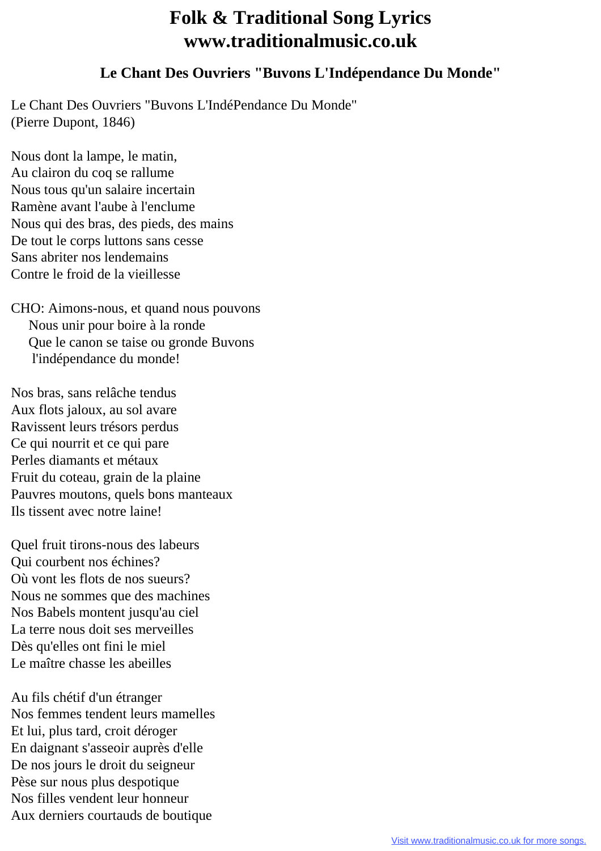## **Folk & Traditional Song Lyrics www.traditionalmusic.co.uk**

## **Le Chant Des Ouvriers "Buvons L'Indépendance Du Monde"**

Le Chant Des Ouvriers "Buvons L'IndéPendance Du Monde" (Pierre Dupont, 1846)

Nous dont la lampe, le matin, Au clairon du coq se rallume Nous tous qu'un salaire incertain Ramène avant l'aube à l'enclume Nous qui des bras, des pieds, des mains De tout le corps luttons sans cesse Sans abriter nos lendemains Contre le froid de la vieillesse

CHO: Aimons-nous, et quand nous pouvons Nous unir pour boire à la ronde Que le canon se taise ou gronde Buvons l'indépendance du monde!

Nos bras, sans relâche tendus Aux flots jaloux, au sol avare Ravissent leurs trésors perdus Ce qui nourrit et ce qui pare Perles diamants et métaux Fruit du coteau, grain de la plaine Pauvres moutons, quels bons manteaux Ils tissent avec notre laine!

Quel fruit tirons-nous des labeurs Qui courbent nos échines? Où vont les flots de nos sueurs? Nous ne sommes que des machines Nos Babels montent jusqu'au ciel La terre nous doit ses merveilles Dès qu'elles ont fini le miel Le maître chasse les abeilles

Au fils chétif d'un étranger Nos femmes tendent leurs mamelles Et lui, plus tard, croit déroger En daignant s'asseoir auprès d'elle De nos jours le droit du seigneur Pèse sur nous plus despotique Nos filles vendent leur honneur Aux derniers courtauds de boutique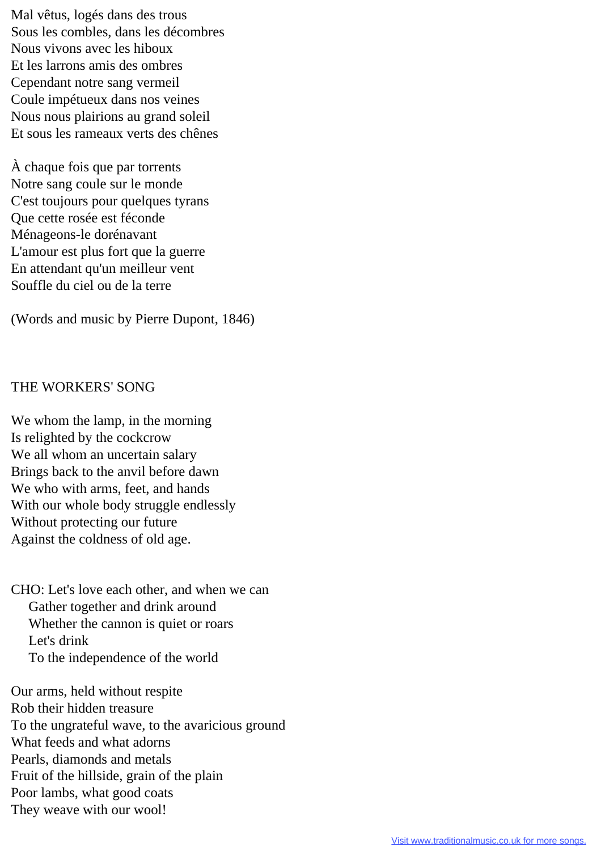Mal vêtus, logés dans des trous Sous les combles, dans les décombres Nous vivons avec les hiboux Et les larrons amis des ombres Cependant notre sang vermeil Coule impétueux dans nos veines Nous nous plairions au grand soleil Et sous les rameaux verts des chênes

À chaque fois que par torrents Notre sang coule sur le monde C'est toujours pour quelques tyrans Que cette rosée est féconde Ménageons-le dorénavant L'amour est plus fort que la guerre En attendant qu'un meilleur vent Souffle du ciel ou de la terre

(Words and music by Pierre Dupont, 1846)

## THE WORKERS' SONG

We whom the lamp, in the morning Is relighted by the cockcrow We all whom an uncertain salary Brings back to the anvil before dawn We who with arms, feet, and hands With our whole body struggle endlessly Without protecting our future Against the coldness of old age.

CHO: Let's love each other, and when we can Gather together and drink around Whether the cannon is quiet or roars Let's drink To the independence of the world

Our arms, held without respite Rob their hidden treasure To the ungrateful wave, to the avaricious ground What feeds and what adorns Pearls, diamonds and metals Fruit of the hillside, grain of the plain Poor lambs, what good coats They weave with our wool!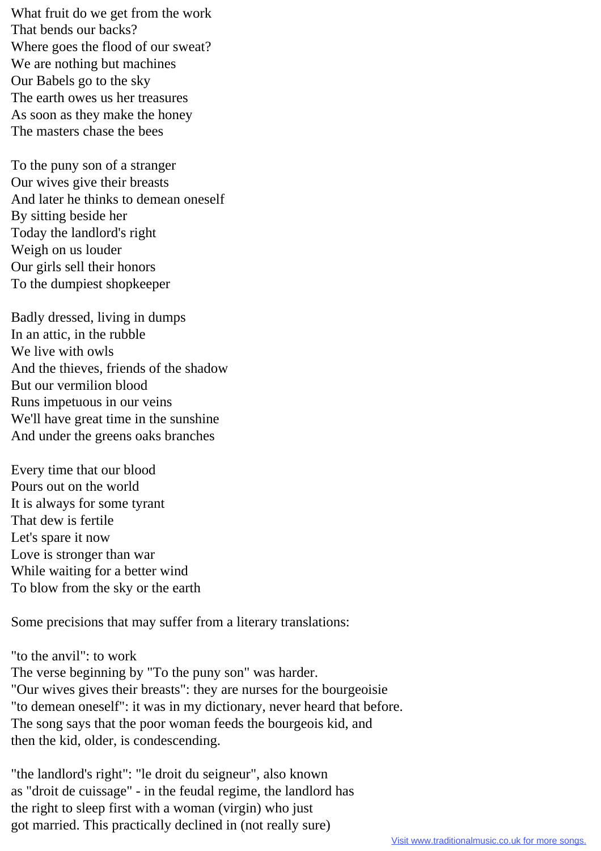What fruit do we get from the work That bends our backs? Where goes the flood of our sweat? We are nothing but machines Our Babels go to the sky The earth owes us her treasures As soon as they make the honey The masters chase the bees

To the puny son of a stranger Our wives give their breasts And later he thinks to demean oneself By sitting beside her Today the landlord's right Weigh on us louder Our girls sell their honors To the dumpiest shopkeeper

Badly dressed, living in dumps In an attic, in the rubble We live with owls And the thieves, friends of the shadow But our vermilion blood Runs impetuous in our veins We'll have great time in the sunshine And under the greens oaks branches

Every time that our blood Pours out on the world It is always for some tyrant That dew is fertile Let's spare it now Love is stronger than war While waiting for a better wind To blow from the sky or the earth

Some precisions that may suffer from a literary translations:

"to the anvil": to work The verse beginning by "To the puny son" was harder. "Our wives gives their breasts": they are nurses for the bourgeoisie "to demean oneself": it was in my dictionary, never heard that before. The song says that the poor woman feeds the bourgeois kid, and then the kid, older, is condescending.

"the landlord's right": "le droit du seigneur", also known as "droit de cuissage" - in the feudal regime, the landlord has the right to sleep first with a woman (virgin) who just got married. This practically declined in (not really sure)